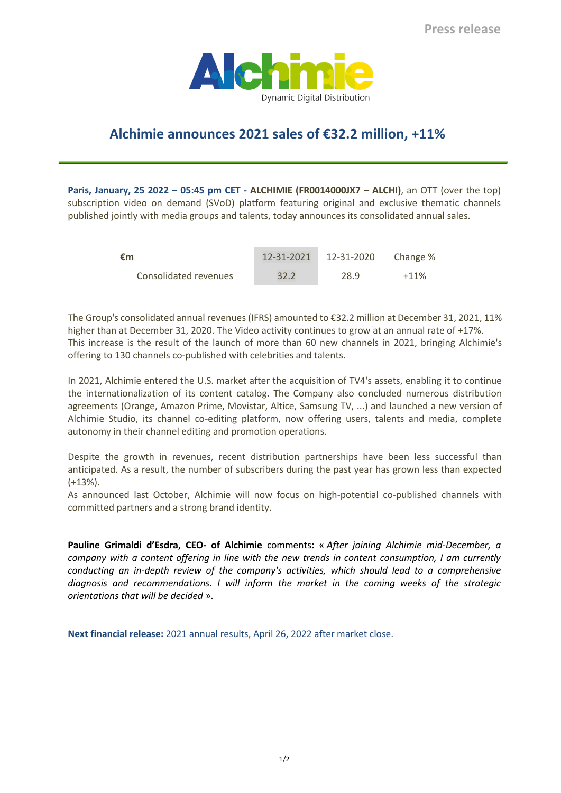

## **Alchimie announces 2021 sales of €32.2 million, +11%**

**Paris, January, 25 2022 – 05:45 pm CET - ALCHIMIE (FR0014000JX7 – ALCHI)**, an OTT (over the top) subscription video on demand (SVoD) platform featuring original and exclusive thematic channels published jointly with media groups and talents, today announces its consolidated annual sales.

| €m                    | 12-31-2021 | $12 - 31 - 2020$ | Change % |
|-----------------------|------------|------------------|----------|
| Consolidated revenues | 32.2       | 28.9             | $+11%$   |

The Group's consolidated annual revenues (IFRS) amounted to €32.2 million at December 31, 2021, 11% higher than at December 31, 2020. The Video activity continues to grow at an annual rate of +17%. This increase is the result of the launch of more than 60 new channels in 2021, bringing Alchimie's offering to 130 channels co-published with celebrities and talents.

In 2021, Alchimie entered the U.S. market after the acquisition of TV4's assets, enabling it to continue the internationalization of its content catalog. The Company also concluded numerous distribution agreements (Orange, Amazon Prime, Movistar, Altice, Samsung TV, ...) and launched a new version of Alchimie Studio, its channel co-editing platform, now offering users, talents and media, complete autonomy in their channel editing and promotion operations.

Despite the growth in revenues, recent distribution partnerships have been less successful than anticipated. As a result, the number of subscribers during the past year has grown less than expected (+13%).

As announced last October, Alchimie will now focus on high-potential co-published channels with committed partners and a strong brand identity.

**Pauline Grimaldi d'Esdra, CEO- of Alchimie** comments**:** « *After joining Alchimie mid-December, a company with a content offering in line with the new trends in content consumption, I am currently conducting an in-depth review of the company's activities, which should lead to a comprehensive diagnosis and recommendations. I will inform the market in the coming weeks of the strategic orientations that will be decided* ».

**Next financial release:** 2021 annual results, April 26, 2022 after market close.